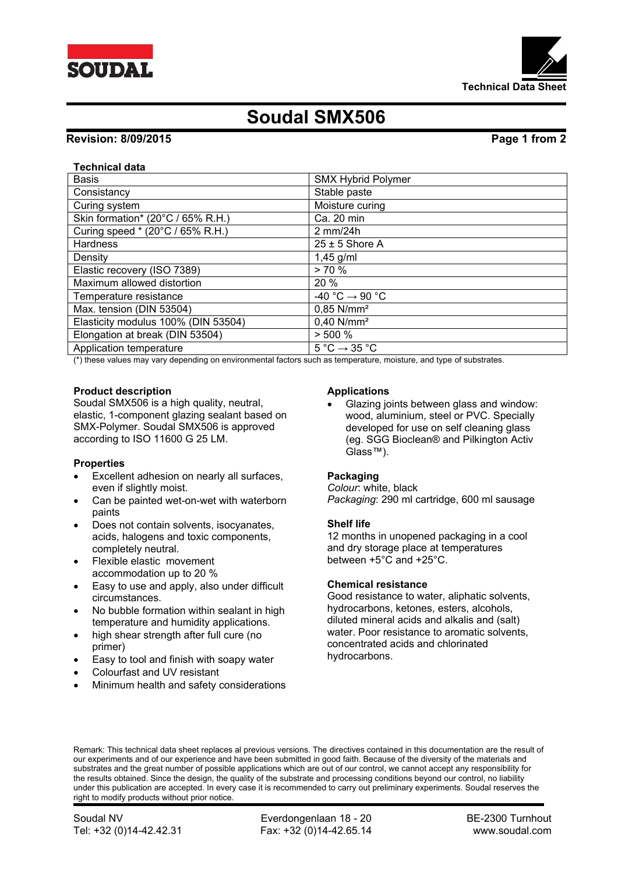



# **Soudal SMX506**

# **Revision: 8/09/2015 Page 1 from 2**

### **Technical data**

| <b>Basis</b>                        | <b>SMX Hybrid Polymer</b>                   |
|-------------------------------------|---------------------------------------------|
| Consistancy                         | Stable paste                                |
| Curing system                       | Moisture curing                             |
| Skin formation* (20°C / 65% R.H.)   | Ca. 20 min                                  |
| Curing speed * (20°C / 65% R.H.)    | $2$ mm/24h                                  |
| <b>Hardness</b>                     | $25 \pm 5$ Shore A                          |
| Density                             | $1,45$ g/ml                                 |
| Elastic recovery (ISO 7389)         | > 70%                                       |
| Maximum allowed distortion          | 20 %                                        |
| Temperature resistance              | $-40 °C \rightarrow 90 °C$                  |
| Max. tension (DIN 53504)            | $0.85$ N/mm <sup>2</sup>                    |
| Elasticity modulus 100% (DIN 53504) | $0,40$ N/mm <sup>2</sup>                    |
| Elongation at break (DIN 53504)     | > 500 %                                     |
| Application temperature             | $5^{\circ}$ C $\rightarrow$ 35 $^{\circ}$ C |

(\*) these values may vary depending on environmental factors such as temperature, moisture, and type of substrates.

### **Product description**

Soudal SMX506 is a high quality, neutral, elastic, 1-component glazing sealant based on SMX-Polymer. Soudal SMX506 is approved according to ISO 11600 G 25 LM.

### **Properties**

- Excellent adhesion on nearly all surfaces, even if slightly moist.
- Can be painted wet-on-wet with waterborn paints
- Does not contain solvents, isocyanates, acids, halogens and toxic components, completely neutral.
- Flexible elastic movement accommodation up to 20 %
- Easy to use and apply, also under difficult circumstances.
- No bubble formation within sealant in high temperature and humidity applications.
- high shear strength after full cure (no primer)
- Easy to tool and finish with soapy water
- Colourfast and UV resistant
- Minimum health and safety considerations

### **Applications**

 Glazing joints between glass and window: wood, aluminium, steel or PVC. Specially developed for use on self cleaning glass (eg. SGG Bioclean® and Pilkington Activ Glass™).

# **Packaging**

*Colour*: white, black *Packaging*: 290 ml cartridge, 600 ml sausage

### **Shelf life**

12 months in unopened packaging in a cool and dry storage place at temperatures between +5°C and +25°C.

### **Chemical resistance**

Good resistance to water, aliphatic solvents, hydrocarbons, ketones, esters, alcohols, diluted mineral acids and alkalis and (salt) water. Poor resistance to aromatic solvents, concentrated acids and chlorinated hydrocarbons.

Remark: This technical data sheet replaces al previous versions. The directives contained in this documentation are the result of our experiments and of our experience and have been submitted in good faith. Because of the diversity of the materials and substrates and the great number of possible applications which are out of our control, we cannot accept any responsibility for the results obtained. Since the design, the quality of the substrate and processing conditions beyond our control, no liability under this publication are accepted. In every case it is recommended to carry out preliminary experiments. Soudal reserves the right to modify products without prior notice.